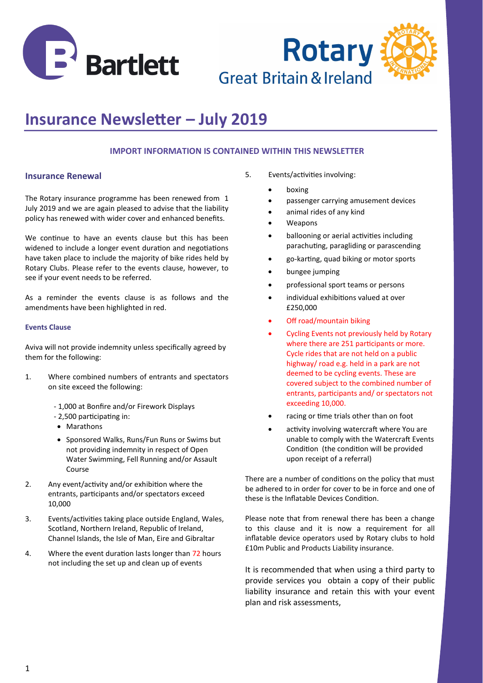



# **Insurance Newsletter – July 2019**

## **IMPORT INFORMATION IS CONTAINED WITHIN THIS NEWSLETTER**

## **Insurance Renewal**

The Rotary insurance programme has been renewed from 1 July 2019 and we are again pleased to advise that the liability policy has renewed with wider cover and enhanced benefits.

We continue to have an events clause but this has been widened to include a longer event duration and negotiations have taken place to include the majority of bike rides held by Rotary Clubs. Please refer to the events clause, however, to see if your event needs to be referred.

As a reminder the events clause is as follows and the amendments have been highlighted in red.

#### **Events Clause**

Aviva will not provide indemnity unless specifically agreed by them for the following:

- 1. Where combined numbers of entrants and spectators on site exceed the following:
	- 1,000 at Bonfire and/or Firework Displays
	- 2,500 participating in:
	- Marathons
	- Sponsored Walks, Runs/Fun Runs or Swims but not providing indemnity in respect of Open Water Swimming, Fell Running and/or Assault Course
- 2. Any event/activity and/or exhibition where the entrants, participants and/or spectators exceed 10,000
- 3. Events/activities taking place outside England, Wales, Scotland, Northern Ireland, Republic of Ireland, Channel Islands, the Isle of Man, Eire and Gibraltar
- 4. Where the event duration lasts longer than 72 hours not including the set up and clean up of events
- 5. Events/activities involving:
	- boxing
	- passenger carrying amusement devices
	- animal rides of any kind
	- **Weapons**
	- ballooning or aerial activities including parachuting, paragliding or parascending
	- go-karting, quad biking or motor sports
	- bungee jumping
	- professional sport teams or persons
	- individual exhibitions valued at over £250,000
	- Off road/mountain biking
	- Cycling Events not previously held by Rotary where there are 251 participants or more. Cycle rides that are not held on a public highway/ road e.g. held in a park are not deemed to be cycling events. These are covered subject to the combined number of entrants, participants and/ or spectators not exceeding 10,000.
	- racing or time trials other than on foot
	- activity involving watercraft where You are unable to comply with the Watercraft Events Condition (the condition will be provided upon receipt of a referral)

There are a number of conditions on the policy that must be adhered to in order for cover to be in force and one of these is the Inflatable Devices Condition.

Please note that from renewal there has been a change to this clause and it is now a requirement for all inflatable device operators used by Rotary clubs to hold £10m Public and Products Liability insurance.

It is recommended that when using a third party to provide services you obtain a copy of their public liability insurance and retain this with your event plan and risk assessments,